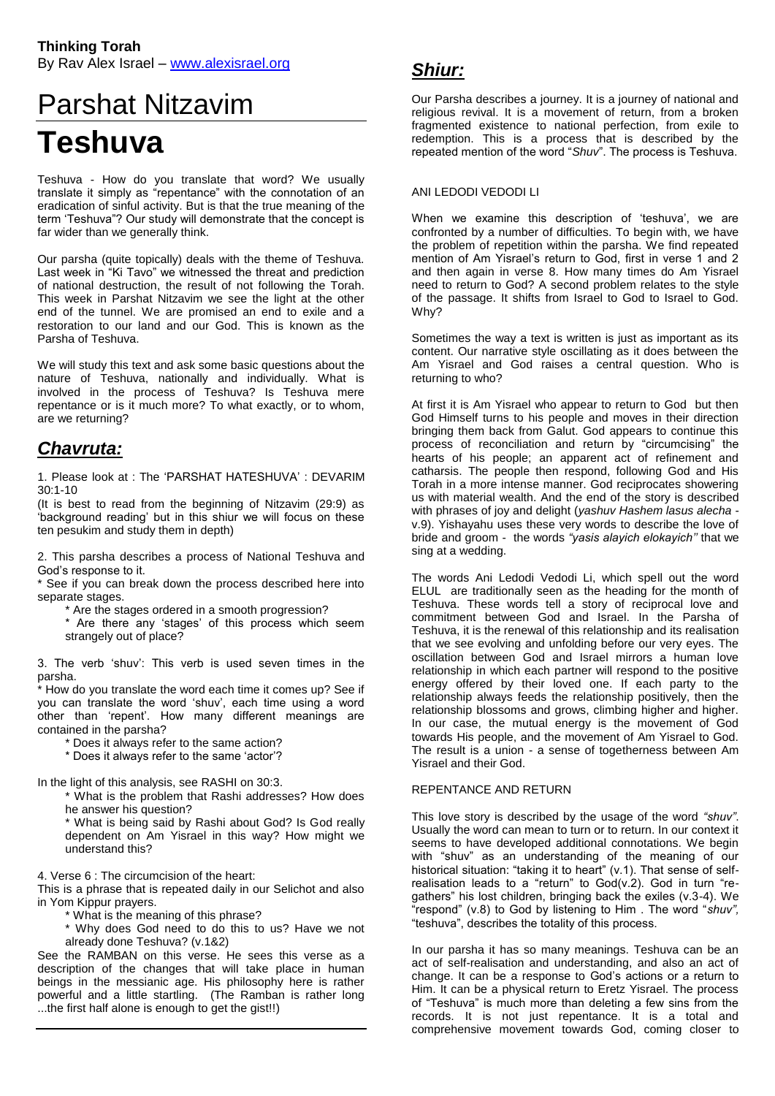# Parshat Nitzavim **Teshuva**

Teshuva - How do you translate that word? We usually translate it simply as "repentance" with the connotation of an eradication of sinful activity. But is that the true meaning of the term 'Teshuva"? Our study will demonstrate that the concept is far wider than we generally think.

Our parsha (quite topically) deals with the theme of Teshuva. Last week in "Ki Tavo" we witnessed the threat and prediction of national destruction, the result of not following the Torah. This week in Parshat Nitzavim we see the light at the other end of the tunnel. We are promised an end to exile and a restoration to our land and our God. This is known as the Parsha of Teshuva.

We will study this text and ask some basic questions about the nature of Teshuva, nationally and individually. What is involved in the process of Teshuva? Is Teshuva mere repentance or is it much more? To what exactly, or to whom, are we returning?

## *Chavruta:*

1. Please look at : The 'PARSHAT HATESHUVA' : DEVARIM 30:1-10

(It is best to read from the beginning of Nitzavim (29:9) as 'background reading' but in this shiur we will focus on these ten pesukim and study them in depth)

2. This parsha describes a process of National Teshuva and God's response to it.

\* See if you can break down the process described here into separate stages.

- \* Are the stages ordered in a smooth progression?
- \* Are there any 'stages' of this process which seem strangely out of place?

3. The verb 'shuv': This verb is used seven times in the parsha.

\* How do you translate the word each time it comes up? See if you can translate the word 'shuv', each time using a word other than 'repent'. How many different meanings are contained in the parsha?

\* Does it always refer to the same action?

\* Does it always refer to the same 'actor'?

In the light of this analysis, see RASHI on 30:3.

\* What is the problem that Rashi addresses? How does he answer his question?

\* What is being said by Rashi about God? Is God really dependent on Am Yisrael in this way? How might we understand this?

4. Verse 6 : The circumcision of the heart:

This is a phrase that is repeated daily in our Selichot and also in Yom Kippur prayers.

\* What is the meaning of this phrase?

\* Why does God need to do this to us? Have we not already done Teshuva? (v.1&2)

See the RAMBAN on this verse. He sees this verse as a description of the changes that will take place in human beings in the messianic age. His philosophy here is rather powerful and a little startling. (The Ramban is rather long ...the first half alone is enough to get the gist!!)

### *Shiur:*

Our Parsha describes a journey. It is a journey of national and religious revival. It is a movement of return, from a broken fragmented existence to national perfection, from exile to redemption. This is a process that is described by the repeated mention of the word "*Shuv*". The process is Teshuva.

#### ANI LEDODI VEDODI LI

When we examine this description of 'teshuva', we are confronted by a number of difficulties. To begin with, we have the problem of repetition within the parsha. We find repeated mention of Am Yisrael's return to God, first in verse 1 and 2 and then again in verse 8. How many times do Am Yisrael need to return to God? A second problem relates to the style of the passage. It shifts from Israel to God to Israel to God. Why?

Sometimes the way a text is written is just as important as its content. Our narrative style oscillating as it does between the Am Yisrael and God raises a central question. Who is returning to who?

At first it is Am Yisrael who appear to return to God but then God Himself turns to his people and moves in their direction bringing them back from Galut. God appears to continue this process of reconciliation and return by "circumcising" the hearts of his people; an apparent act of refinement and catharsis. The people then respond, following God and His Torah in a more intense manner. God reciprocates showering us with material wealth. And the end of the story is described with phrases of joy and delight (*yashuv Hashem lasus alecha* v.9). Yishayahu uses these very words to describe the love of bride and groom - the words *"yasis alayich elokayich''* that we sing at a wedding.

The words Ani Ledodi Vedodi Li, which spell out the word ELUL are traditionally seen as the heading for the month of Teshuva. These words tell a story of reciprocal love and commitment between God and Israel. In the Parsha of Teshuva, it is the renewal of this relationship and its realisation that we see evolving and unfolding before our very eyes. The oscillation between God and Israel mirrors a human love relationship in which each partner will respond to the positive energy offered by their loved one. If each party to the relationship always feeds the relationship positively, then the relationship blossoms and grows, climbing higher and higher. In our case, the mutual energy is the movement of God towards His people, and the movement of Am Yisrael to God. The result is a union - a sense of togetherness between Am Yisrael and their God.

#### REPENTANCE AND RETURN

This love story is described by the usage of the word *"shuv"*. Usually the word can mean to turn or to return. In our context it seems to have developed additional connotations. We begin with "shuv" as an understanding of the meaning of our historical situation: "taking it to heart" (v.1). That sense of selfrealisation leads to a "return" to God(v.2). God in turn "regathers" his lost children, bringing back the exiles (v.3-4). We "respond" (v.8) to God by listening to Him . The word "*shuv",* "teshuva", describes the totality of this process.

In our parsha it has so many meanings. Teshuva can be an act of self-realisation and understanding, and also an act of change. It can be a response to God's actions or a return to Him. It can be a physical return to Eretz Yisrael. The process of "Teshuva" is much more than deleting a few sins from the records. It is not just repentance. It is a total and comprehensive movement towards God, coming closer to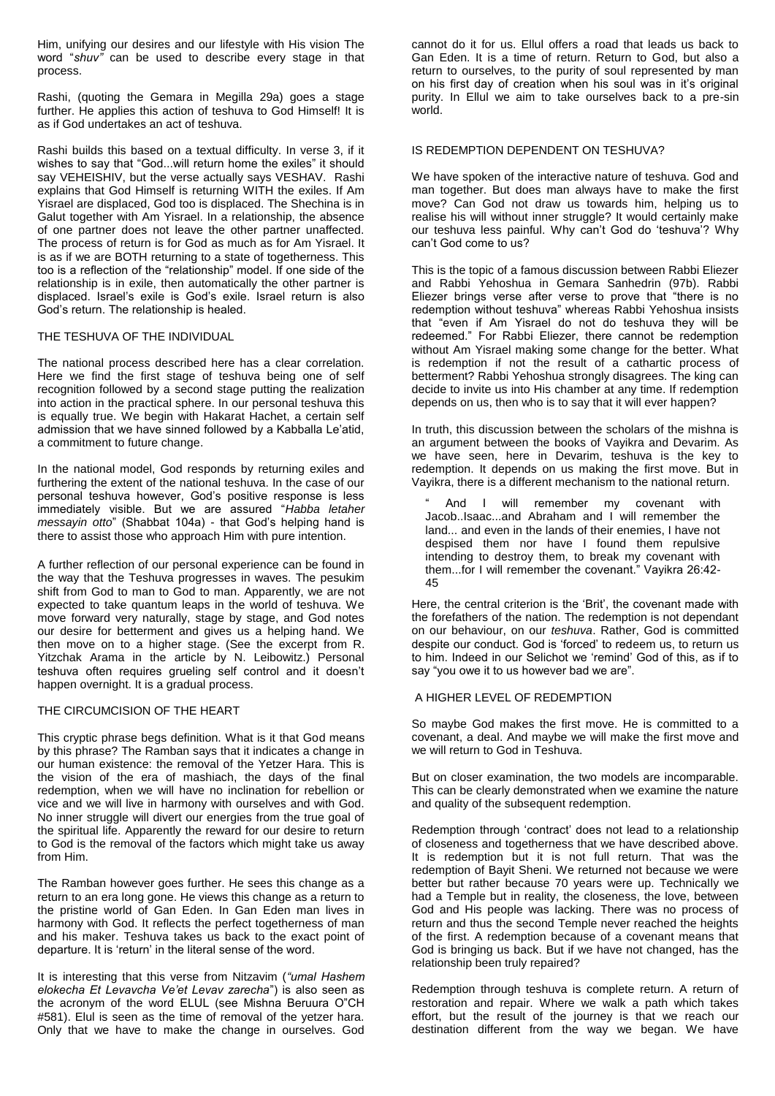Him, unifying our desires and our lifestyle with His vision The word "*shuv"* can be used to describe every stage in that process.

Rashi, (quoting the Gemara in Megilla 29a) goes a stage further. He applies this action of teshuva to God Himself! It is as if God undertakes an act of teshuva.

Rashi builds this based on a textual difficulty. In verse 3, if it wishes to say that "God...will return home the exiles" it should say VEHEISHIV, but the verse actually says VESHAV. Rashi explains that God Himself is returning WITH the exiles. If Am Yisrael are displaced, God too is displaced. The Shechina is in Galut together with Am Yisrael. In a relationship, the absence of one partner does not leave the other partner unaffected. The process of return is for God as much as for Am Yisrael. It is as if we are BOTH returning to a state of togetherness. This too is a reflection of the "relationship" model. If one side of the relationship is in exile, then automatically the other partner is displaced. Israel's exile is God's exile. Israel return is also God's return. The relationship is healed.

#### THE TESHUVA OF THE INDIVIDUAL

The national process described here has a clear correlation. Here we find the first stage of teshuva being one of self recognition followed by a second stage putting the realization into action in the practical sphere. In our personal teshuva this is equally true. We begin with Hakarat Hachet, a certain self admission that we have sinned followed by a Kabballa Le'atid, a commitment to future change.

In the national model, God responds by returning exiles and furthering the extent of the national teshuva. In the case of our personal teshuva however, God's positive response is less immediately visible. But we are assured "*Habba letaher messayin otto*" (Shabbat 104a) - that God's helping hand is there to assist those who approach Him with pure intention.

A further reflection of our personal experience can be found in the way that the Teshuva progresses in waves. The pesukim shift from God to man to God to man. Apparently, we are not expected to take quantum leaps in the world of teshuva. We move forward very naturally, stage by stage, and God notes our desire for betterment and gives us a helping hand. We then move on to a higher stage. (See the excerpt from R. Yitzchak Arama in the article by N. Leibowitz.) Personal teshuva often requires grueling self control and it doesn't happen overnight. It is a gradual process.

#### THE CIRCUMCISION OF THE HEART

This cryptic phrase begs definition. What is it that God means by this phrase? The Ramban says that it indicates a change in our human existence: the removal of the Yetzer Hara. This is the vision of the era of mashiach, the days of the final redemption, when we will have no inclination for rebellion or vice and we will live in harmony with ourselves and with God. No inner struggle will divert our energies from the true goal of the spiritual life. Apparently the reward for our desire to return to God is the removal of the factors which might take us away from Him.

The Ramban however goes further. He sees this change as a return to an era long gone. He views this change as a return to the pristine world of Gan Eden. In Gan Eden man lives in harmony with God. It reflects the perfect togetherness of man and his maker. Teshuva takes us back to the exact point of departure. It is 'return' in the literal sense of the word.

It is interesting that this verse from Nitzavim (*"umal Hashem elokecha Et Levavcha Ve'et Levav zarecha*") is also seen as the acronym of the word ELUL (see Mishna Beruura O"CH #581). Elul is seen as the time of removal of the yetzer hara. Only that we have to make the change in ourselves. God cannot do it for us. Ellul offers a road that leads us back to Gan Eden. It is a time of return. Return to God, but also a return to ourselves, to the purity of soul represented by man on his first day of creation when his soul was in it's original purity. In Ellul we aim to take ourselves back to a pre-sin world.

#### IS REDEMPTION DEPENDENT ON TESHUVA?

We have spoken of the interactive nature of teshuva. God and man together. But does man always have to make the first move? Can God not draw us towards him, helping us to realise his will without inner struggle? It would certainly make our teshuva less painful. Why can't God do 'teshuva'? Why can't God come to us?

This is the topic of a famous discussion between Rabbi Eliezer and Rabbi Yehoshua in Gemara Sanhedrin (97b). Rabbi Eliezer brings verse after verse to prove that "there is no redemption without teshuva" whereas Rabbi Yehoshua insists that "even if Am Yisrael do not do teshuva they will be redeemed." For Rabbi Eliezer, there cannot be redemption without Am Yisrael making some change for the better. What is redemption if not the result of a cathartic process of betterment? Rabbi Yehoshua strongly disagrees. The king can decide to invite us into His chamber at any time. If redemption depends on us, then who is to say that it will ever happen?

In truth, this discussion between the scholars of the mishna is an argument between the books of Vayikra and Devarim. As we have seen, here in Devarim, teshuva is the key to redemption. It depends on us making the first move. But in Vayikra, there is a different mechanism to the national return.

And I will remember my covenant with Jacob..Isaac...and Abraham and I will remember the land... and even in the lands of their enemies, I have not despised them nor have I found them repulsive intending to destroy them, to break my covenant with them...for I will remember the covenant." Vayikra 26:42- 45

Here, the central criterion is the 'Brit', the covenant made with the forefathers of the nation. The redemption is not dependant on our behaviour, on our *teshuva*. Rather, God is committed despite our conduct. God is 'forced' to redeem us, to return us to him. Indeed in our Selichot we 'remind' God of this, as if to say "you owe it to us however bad we are".

#### A HIGHER LEVEL OF REDEMPTION

So maybe God makes the first move. He is committed to a covenant, a deal. And maybe we will make the first move and we will return to God in Teshuva.

But on closer examination, the two models are incomparable. This can be clearly demonstrated when we examine the nature and quality of the subsequent redemption.

Redemption through 'contract' does not lead to a relationship of closeness and togetherness that we have described above. It is redemption but it is not full return. That was the redemption of Bayit Sheni. We returned not because we were better but rather because 70 years were up. Technically we had a Temple but in reality, the closeness, the love, between God and His people was lacking. There was no process of return and thus the second Temple never reached the heights of the first. A redemption because of a covenant means that God is bringing us back. But if we have not changed, has the relationship been truly repaired?

Redemption through teshuva is complete return. A return of restoration and repair. Where we walk a path which takes effort, but the result of the journey is that we reach our destination different from the way we began. We have